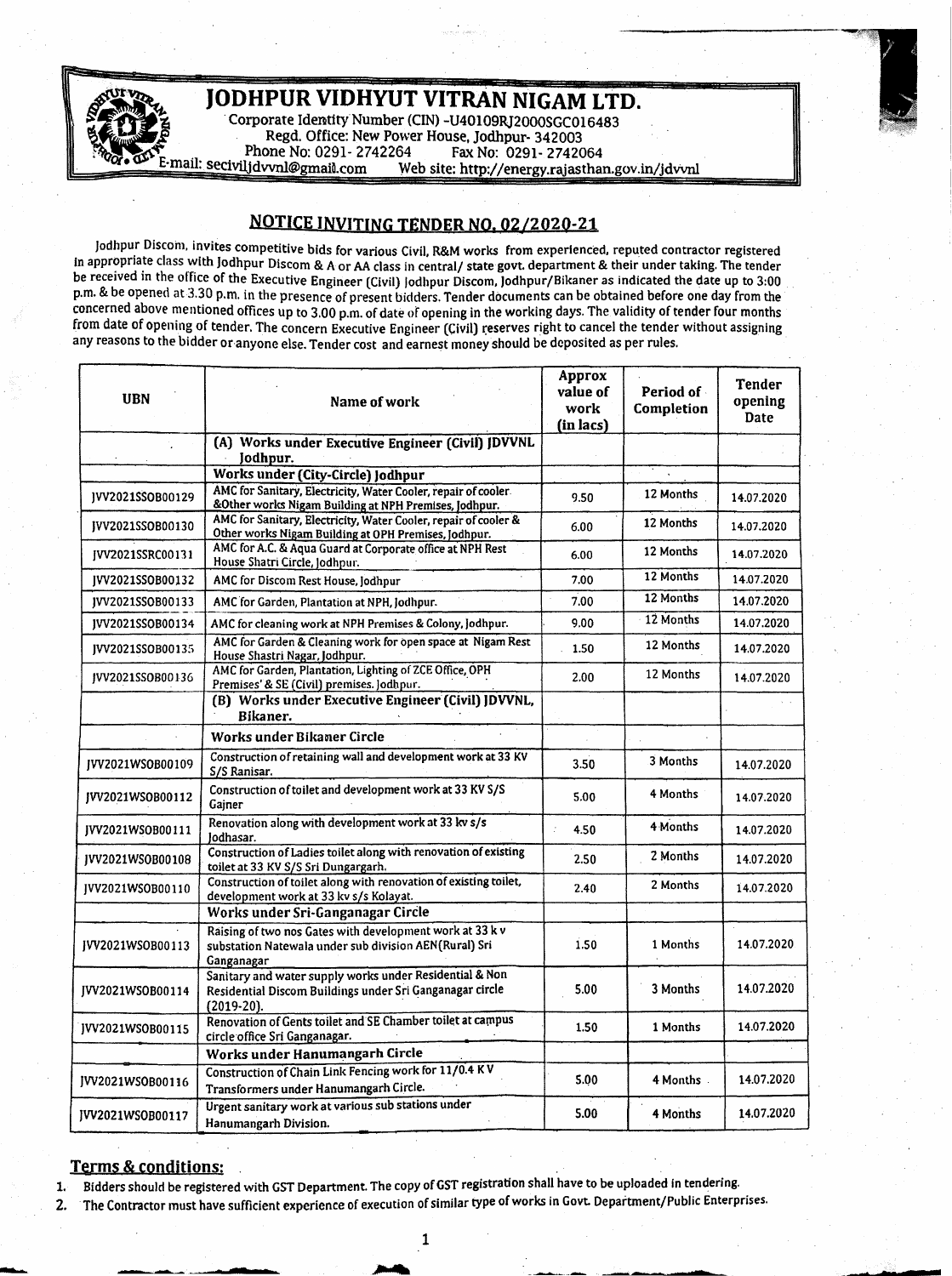JODHPUR VIDHYUT VITRAN NIGAM LTD. % Corporate Identity Number (CIN) -U40109RJ2000SGC016483<br>Regd. Office: New Power House, Jodhpur- 342003<br>Phone No: 0291- 2742264 Fax No: 0291- 2742064 E-mail: seciviljdvvnl@gmail.com Web site: http://energy.rajasthan.gov.in/jdvvnl

## NOTICE INVITING TENDER NQ. 02/202Q-21

Jodhpur Dlscom, invites competitive bids for various Civil, R&M works from experienced, reputed contractor registered in appropriate class with Jodhpur Discom & A or AA class in central/ state govt. department & their under taking. The tender be received in the office of the Executive Engineer (Civil) Jodhpur Discom, Jodhpur/Bikaner as indicated the date up to 3:00 p.m. & be opened at 3.30 p.m. in the presence of present bidders. Tender documents can be obtained before one day from the concerned above mentioned offices up to 3.00 p.m. of date or opening in the working days. The validity of tender four months from date of opening of tender. The concern Executive Engineer (Civil) reserves right to cancel the tender without assigning any reasons to the bidder or anyone else. Tender cost and earnest money should be deposited as per rules.

| <b>UBN</b>       | Name of work                                                                                                                        | Approx<br>value of<br>work<br>(in lacs) | Period of<br>Completion | Tender<br>opening<br>Date |
|------------------|-------------------------------------------------------------------------------------------------------------------------------------|-----------------------------------------|-------------------------|---------------------------|
|                  | (A) Works under Executive Engineer (Civil) JDVVNL<br>Jodhpur.                                                                       |                                         |                         |                           |
|                  | Works under (City-Circle) Jodhpur                                                                                                   |                                         |                         |                           |
| JVV2021SSOB00129 | AMC for Sanitary, Electricity, Water Cooler, repair of cooler.<br>&Other works Nigam Building at NPH Premises, Jodhpur.             | 9.50                                    | 12 Months               | 14.07.2020                |
| IVV2021SSOB00130 | AMC for Sanitary, Electricity, Water Cooler, repair of cooler &<br>Other works Nigam Building at OPH Premises, Jodhpur.             | 6.00                                    | 12 Months               | 14.07.2020                |
| IVV2021SSRC00131 | AMC for A.C. & Aqua Guard at Corporate office at NPH Rest<br>House Shatri Circle, Jodhpur.                                          | 6.00                                    | 12 Months               | 14.07.2020                |
| IVV2021SSOB00132 | AMC for Discom Rest House, Jodhpur                                                                                                  | 7.00                                    | 12 Months               | 14.07.2020                |
| JVV2021SSOB00133 | AMC for Garden, Plantation at NPH, Jodhpur.                                                                                         | 7.00                                    | 12 Months               | 14.07.2020                |
| IVV2021SSOB00134 | AMC for cleaning work at NPH Premises & Colony, Jodhpur.                                                                            | 9.00                                    | 12 Months               | 14.07.2020                |
| IVV2021SSOB00135 | AMC for Garden & Cleaning work for open space at Nigam Rest<br>House Shastri Nagar, Jodhpur.                                        | 1.50                                    | 12 Months               | 14.07.2020                |
| IVV2021SSOB00136 | AMC for Garden, Plantation, Lighting of ZCE Office, OPH<br>Premises' & SE (Civil) premises. Jodhpur.                                | 2.00                                    | 12 Months               | 14.07.2020                |
|                  | (B) Works under Executive Engineer (Civil) JDVVNL,<br>Bikaner.                                                                      |                                         |                         |                           |
|                  | Works under Bikaner Circle                                                                                                          |                                         |                         |                           |
| IVV2021WS0B00109 | Construction of retaining wall and development work at 33 KV<br>S/S Ranisar.                                                        | 3.50                                    | 3 Months                | 14.07.2020                |
| IVV2021WS0B00112 | Construction of toilet and development work at 33 KV S/S<br>Gainer                                                                  | 5.00                                    | 4 Months                | 14.07.2020                |
| IVV2021WSOB00111 | Renovation along with development work at 33 kv s/s<br>lodhasar.                                                                    | 4.50                                    | 4 Months                | 14.07.2020                |
| IVV2021WS0B00108 | Construction of Ladies toilet along with renovation of existing<br>toilet at 33 KV S/S Sri Dungargarh.                              | 2.50                                    | 2 Months                | 14.07.2020                |
| IVV2021WSOB00110 | Construction of toilet along with renovation of existing toilet,<br>development work at 33 kv s/s Kolayat.                          | 2.40                                    | 2 Months                | 14.07.2020                |
|                  | Works under Sri-Ganganagar Circle                                                                                                   |                                         |                         |                           |
| IVV2021WSOB00113 | Raising of two nos Gates with development work at 33 k v<br>substation Natewala under sub division AEN(Rural) Sri<br>Ganganagar     | 1.50                                    | 1 Months                | 14.07.2020                |
| [VV2021WSOB00114 | Sanitary and water supply works under Residential & Non<br>Residential Discom Buildings under Sri Ganganagar circle<br>$(2019-20).$ | 5.00                                    | 3 Months                | 14.07.2020                |
| JVV2021WSOB00115 | Renovation of Gents toilet and SE Chamber toilet at campus<br>circle office Sri Ganganagar.                                         | 1.50                                    | 1 Months                | 14.07.2020                |
|                  | Works under Hanumangarh Circle                                                                                                      |                                         |                         |                           |
| JVV2021WSOB00116 | Construction of Chain Link Fencing work for 11/0.4 KV<br>Transformers under Hanumangarh Circle.                                     | 5.00                                    | 4 Months                | 14.07.2020                |
| IVV2021WSOB00117 | Urgent sanitary work at various sub stations under<br>Hanumangarh Division.                                                         | 5.00                                    | 4 Months                | 14.07.2020                |

## Terms & conditions:

<u>።</u>

1. Bidders should be registered with GST Department. The copy ofGST registration shall have to be uploaded in tendering.

2. The Contractor must have sufficient experience of execution of similar type of works in Govt. Department/Public Enterprises.

**..• -**